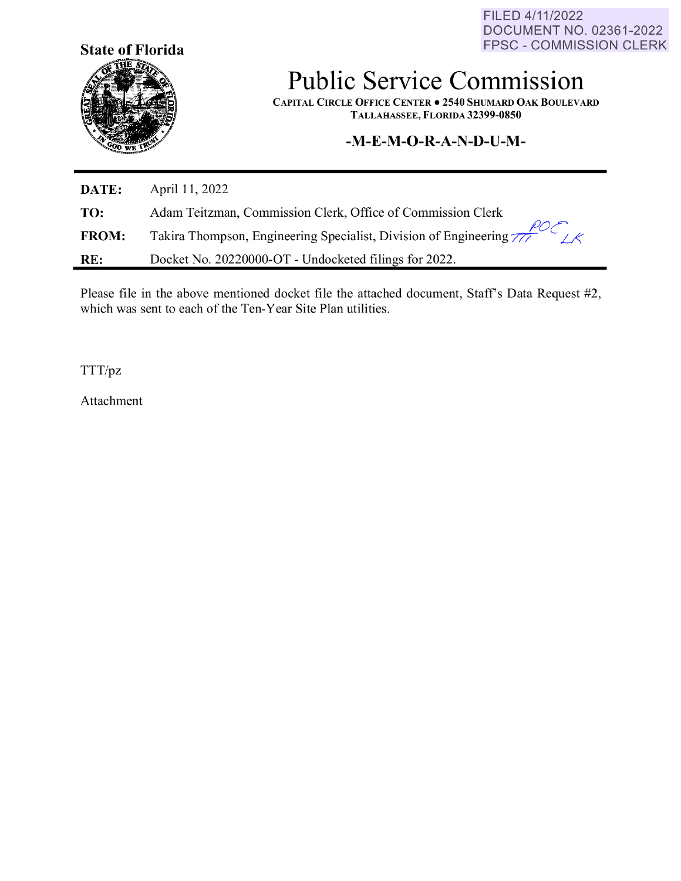FILED 4/11/2022 DOCUMENT NO. 02361-2022 FPSC - COMMISSION CLERK



## **Public Service Commission**

**CAPITAL CIRCLE OFFICE CENTER• 2540 SHUMARD OAK BOULEVARD TALLAHASSEE, FLORIDA 32399-0850** 

## **-M-E-M-O-R-A-N-D-U-M-**

| DATE:        | April 11, 2022                                                                         |
|--------------|----------------------------------------------------------------------------------------|
| TO:          | Adam Teitzman, Commission Clerk, Office of Commission Clerk                            |
| <b>FROM:</b> | Takira Thompson, Engineering Specialist, Division of Engineering $\frac{\mu_0}{\mu_0}$ |
| RE:          | Docket No. 20220000-OT - Undocketed filings for 2022.                                  |

Please file in the above mentioned docket file the attached document, Staff's Data Request #2, which was sent to each of the Ten-Year Site Plan utilities.

TTT/pz

Attachment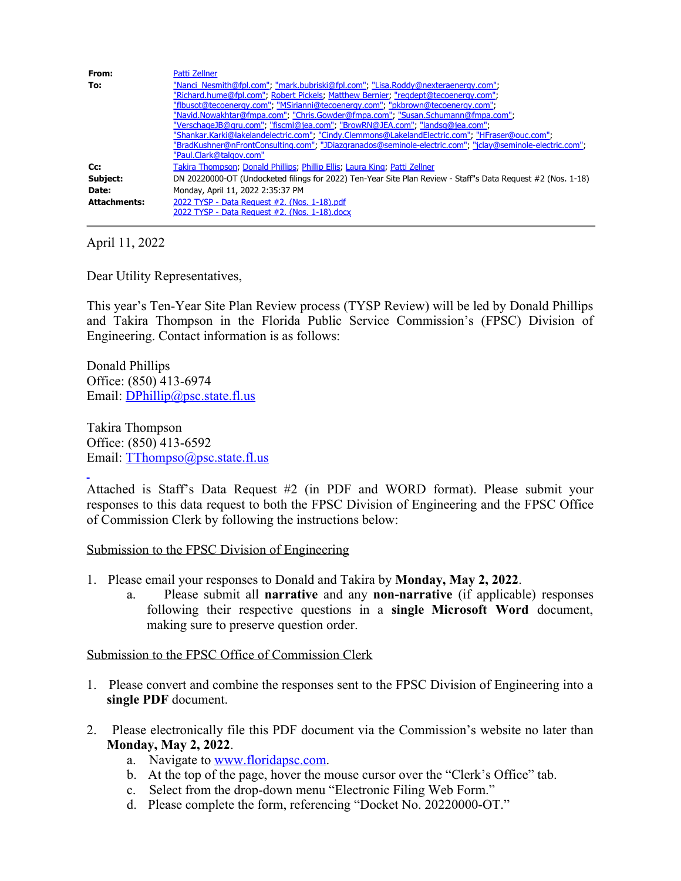| From:               | Patti Zellner                                                                                                |
|---------------------|--------------------------------------------------------------------------------------------------------------|
| To:                 | "Nanci Nesmith@fpl.com"; "mark.bubriski@fpl.com"; "Lisa.Roddy@nexteraenergy.com";                            |
|                     | "Richard.hume@fpl.com"; Robert Pickels; Matthew Bernier; "regdept@tecoenergy.com";                           |
|                     | "flbusot@tecoenergy.com"; "MSirianni@tecoenergy.com"; "pkbrown@tecoenergy.com";                              |
|                     | "Navid.Nowakhtar@fmpa.com", "Chris.Gowder@fmpa.com", "Susan.Schumann@fmpa.com",                              |
|                     | "VerschageJB@gru.com", "fiscml@jea.com", "BrowRN@JEA.com", "landsg@jea.com",                                 |
|                     | "Shankar.Karki@lakelandelectric.com", "Cindy.Clemmons@LakelandElectric.com"; "HFraser@ouc.com",              |
|                     | "BradKushner@nFrontConsulting.com", "JDiazgranados@seminole-electric.com", "jclay@seminole-electric.com",    |
|                     | "Paul.Clark@talgov.com"                                                                                      |
| Cc:                 | Takira Thompson, Donald Phillips, Phillip Ellis, Laura King, Patti Zellner                                   |
| Subject:            | DN 20220000-OT (Undocketed filings for 2022) Ten-Year Site Plan Review - Staff"s Data Reguest #2 (Nos. 1-18) |
| Date:               | Monday, April 11, 2022 2:35:37 PM                                                                            |
| <b>Attachments:</b> | 2022 TYSP - Data Request #2, (Nos. 1-18).pdf                                                                 |
|                     | 2022 TYSP - Data Request #2. (Nos. 1-18).docx                                                                |

April 11, 2022

Dear Utility Representatives,

This year's Ten-Year Site Plan Review process (TYSP Review) will be led by Donald Phillips and Takira Thompson in the Florida Public Service Commission's (FPSC) Division of Engineering. Contact information is as follows:

Donald Phillips Office: (850) 413-6974 Email: [DPhillip@psc.state.fl.us](mailto:DPhillip@psc.state.fl.us)

Takira Thompson Office: (850) 413-6592 Email: [TThompso@psc.state.fl.us](mailto:TThompso@psc.state.fl.us)

Attached is Staff's Data Request #2 (in PDF and WORD format). Please submit your responses to this data request to both the FPSC Division of Engineering and the FPSC Office of Commission Clerk by following the instructions below:

Submission to the FPSC Division of Engineering

- 1. Please email your responses to Donald and Takira by **Monday, May 2, 2022**.
	- a. Please submit all **narrative** and any **non-narrative** (if applicable) responses following their respective questions in a **single Microsoft Word** document, making sure to preserve question order.

Submission to the FPSC Office of Commission Clerk

- 1. Please convert and combine the responses sent to the FPSC Division of Engineering into a **single PDF** document.
- 2. Please electronically file this PDF document via the Commission's website no later than **Monday, May 2, 2022**.
	- a. Navigate to [www.floridapsc.com.](http://www.floridapsc.com/)
	- b. At the top of the page, hover the mouse cursor over the "Clerk's Office" tab.
	- c. Select from the drop-down menu "Electronic Filing Web Form."
	- d. Please complete the form, referencing "Docket No. 20220000-OT."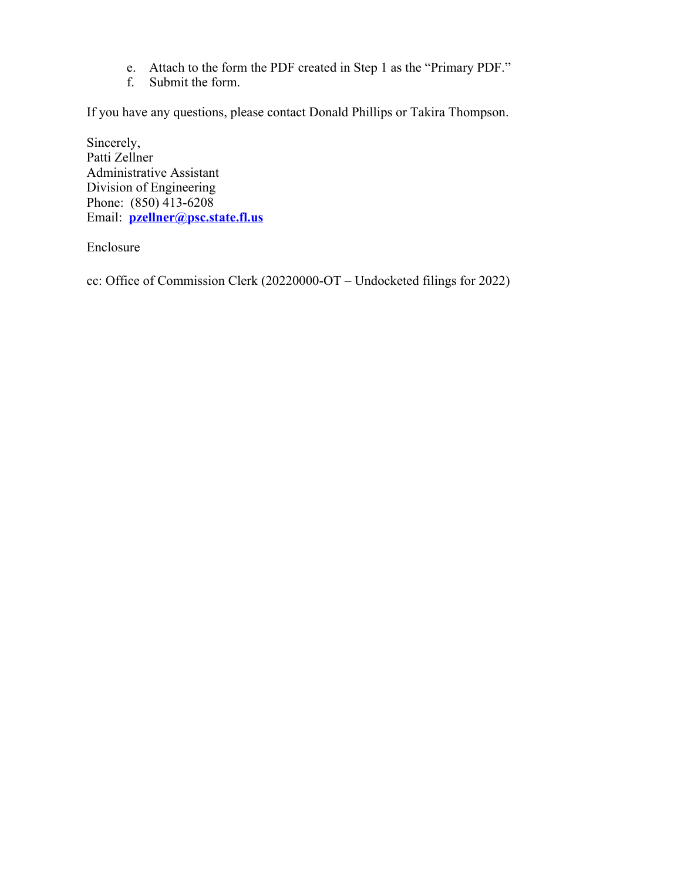- e. Attach to the form the PDF created in Step 1 as the "Primary PDF."
- f. Submit the form.

If you have any questions, please contact Donald Phillips or Takira Thompson.

Sincerely, Patti Zellner Administrative Assistant Division of Engineering Phone: (850) 413-6208 Email: **[pzellner@psc.state.fl.us](mailto:pzellner@psc.state.fl.us)**

Enclosure

cc: Office of Commission Clerk (20220000-OT – Undocketed filings for 2022)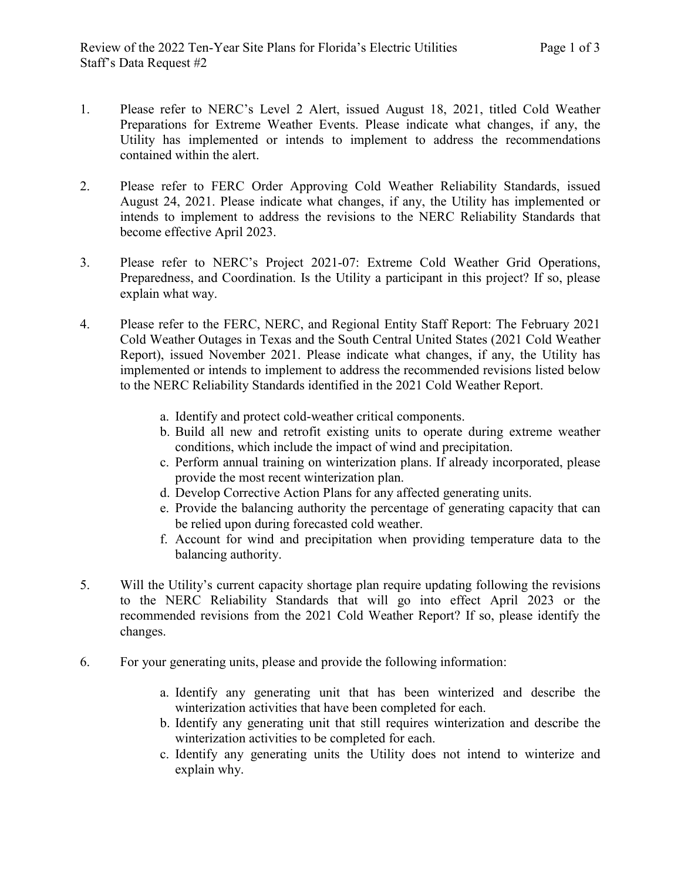- 1. Please refer to NERC's Level 2 Alert, issued August 18, 2021, titled Cold Weather Preparations for Extreme Weather Events. Please indicate what changes, if any, the Utility has implemented or intends to implement to address the recommendations contained within the alert.
- 2. Please refer to FERC Order Approving Cold Weather Reliability Standards, issued August 24, 2021. Please indicate what changes, if any, the Utility has implemented or intends to implement to address the revisions to the NERC Reliability Standards that become effective April 2023.
- 3. Please refer to NERC's Project 2021-07: Extreme Cold Weather Grid Operations, Preparedness, and Coordination. Is the Utility a participant in this project? If so, please explain what way.
- 4. Please refer to the FERC, NERC, and Regional Entity Staff Report: The February 2021 Cold Weather Outages in Texas and the South Central United States (2021 Cold Weather Report), issued November 2021. Please indicate what changes, if any, the Utility has implemented or intends to implement to address the recommended revisions listed below to the NERC Reliability Standards identified in the 2021 Cold Weather Report.
	- a. Identify and protect cold-weather critical components.
	- b. Build all new and retrofit existing units to operate during extreme weather conditions, which include the impact of wind and precipitation.
	- c. Perform annual training on winterization plans. If already incorporated, please provide the most recent winterization plan.
	- d. Develop Corrective Action Plans for any affected generating units.
	- e. Provide the balancing authority the percentage of generating capacity that can be relied upon during forecasted cold weather.
	- f. Account for wind and precipitation when providing temperature data to the balancing authority.
- 5. Will the Utility's current capacity shortage plan require updating following the revisions to the NERC Reliability Standards that will go into effect April 2023 or the recommended revisions from the 2021 Cold Weather Report? If so, please identify the changes.
- 6. For your generating units, please and provide the following information:
	- a. Identify any generating unit that has been winterized and describe the winterization activities that have been completed for each.
	- b. Identify any generating unit that still requires winterization and describe the winterization activities to be completed for each.
	- c. Identify any generating units the Utility does not intend to winterize and explain why.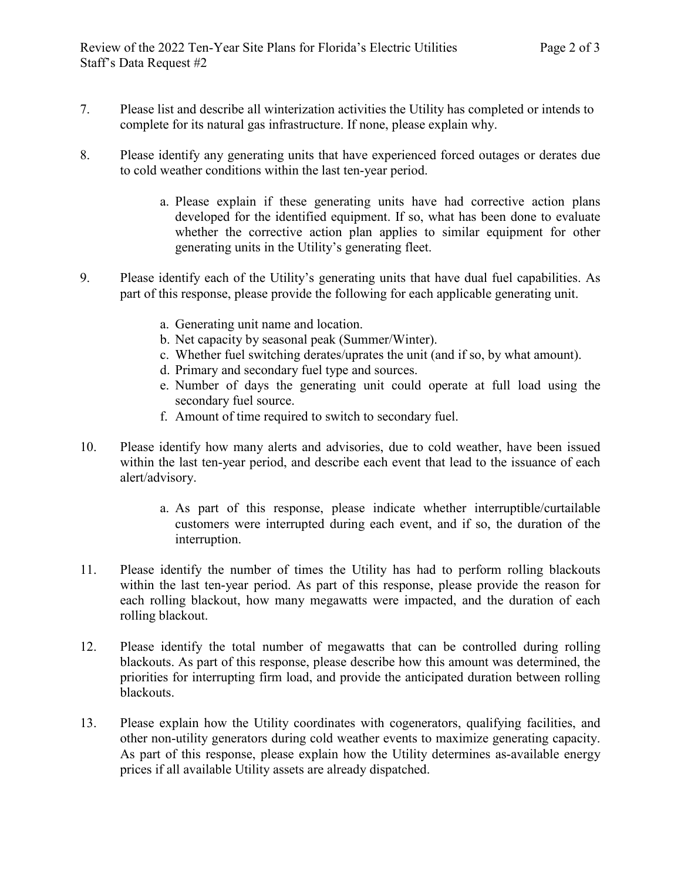- 7. Please list and describe all winterization activities the Utility has completed or intends to complete for its natural gas infrastructure. If none, please explain why.
- 8. Please identify any generating units that have experienced forced outages or derates due to cold weather conditions within the last ten-year period.
	- a. Please explain if these generating units have had corrective action plans developed for the identified equipment. If so, what has been done to evaluate whether the corrective action plan applies to similar equipment for other generating units in the Utility's generating fleet.
- 9. Please identify each of the Utility's generating units that have dual fuel capabilities. As part of this response, please provide the following for each applicable generating unit.
	- a. Generating unit name and location.
	- b. Net capacity by seasonal peak (Summer/Winter).
	- c. Whether fuel switching derates/uprates the unit (and if so, by what amount).
	- d. Primary and secondary fuel type and sources.
	- e. Number of days the generating unit could operate at full load using the secondary fuel source.
	- f. Amount of time required to switch to secondary fuel.
- 10. Please identify how many alerts and advisories, due to cold weather, have been issued within the last ten-year period, and describe each event that lead to the issuance of each alert/advisory.
	- a. As part of this response, please indicate whether interruptible/curtailable customers were interrupted during each event, and if so, the duration of the interruption.
- 11. Please identify the number of times the Utility has had to perform rolling blackouts within the last ten-year period. As part of this response, please provide the reason for each rolling blackout, how many megawatts were impacted, and the duration of each rolling blackout.
- 12. Please identify the total number of megawatts that can be controlled during rolling blackouts. As part of this response, please describe how this amount was determined, the priorities for interrupting firm load, and provide the anticipated duration between rolling blackouts.
- 13. Please explain how the Utility coordinates with cogenerators, qualifying facilities, and other non-utility generators during cold weather events to maximize generating capacity. As part of this response, please explain how the Utility determines as-available energy prices if all available Utility assets are already dispatched.